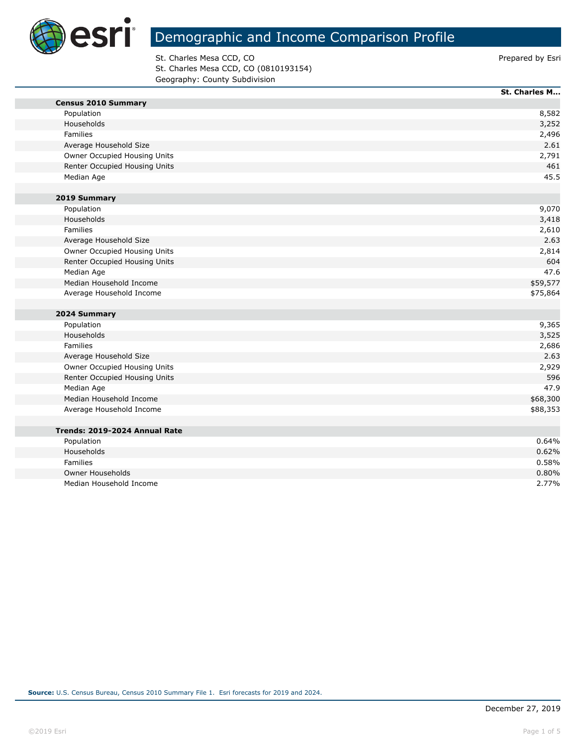

**The State** 

# Demographic and Income Comparison Profile

St. Charles Mesa CCD, CO **Prepared by Estimate St. Charles Mesa CCD**, CO St. Charles Mesa CCD, CO (0810193154) Geography: County Subdivision

|                               | St. Charles M |
|-------------------------------|---------------|
| <b>Census 2010 Summary</b>    |               |
| Population                    | 8,582         |
| Households                    | 3,252         |
| Families                      | 2,496         |
| Average Household Size        | 2.61          |
| Owner Occupied Housing Units  | 2,791         |
| Renter Occupied Housing Units | 461           |
| Median Age                    | 45.5          |
|                               |               |
| 2019 Summary                  |               |
| Population                    | 9,070         |
| Households                    | 3,418         |
| <b>Families</b>               | 2,610         |
| Average Household Size        | 2.63          |
| Owner Occupied Housing Units  | 2,814         |
| Renter Occupied Housing Units | 604           |
| Median Age                    | 47.6          |
| Median Household Income       | \$59,577      |
| Average Household Income      | \$75,864      |
|                               |               |
| 2024 Summary                  |               |
| Population                    | 9,365         |
| Households                    | 3,525         |
| Families                      | 2,686         |
| Average Household Size        | 2.63          |
| Owner Occupied Housing Units  | 2,929         |
| Renter Occupied Housing Units | 596           |
| Median Age                    | 47.9          |
| Median Household Income       | \$68,300      |
| Average Household Income      | \$88,353      |
|                               |               |
| Trends: 2019-2024 Annual Rate |               |
| Population                    | 0.64%         |
| Households                    | 0.62%         |
| Families                      | 0.58%         |
| <b>Owner Households</b>       | 0.80%         |
| Median Household Income       | 2.77%         |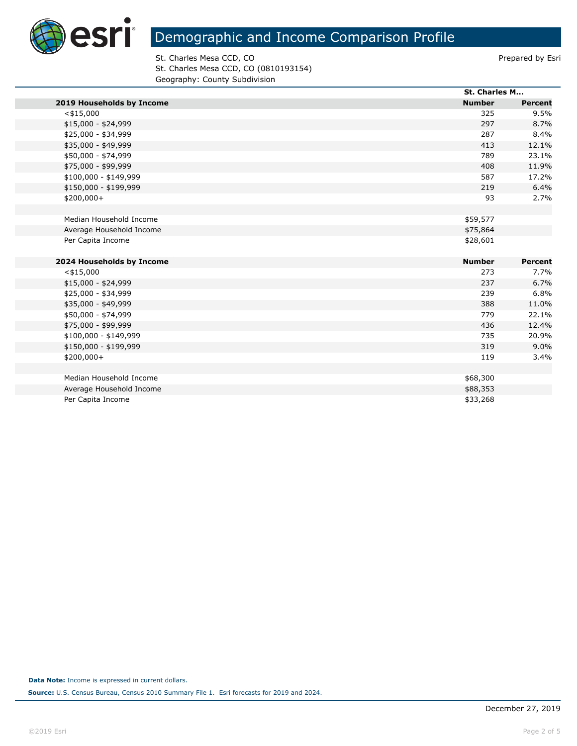

St. Charles Mesa CCD, CO **Prepared by Estimate St. Charles Mesa CCD**, CO St. Charles Mesa CCD, CO (0810193154) Geography: County Subdivision

|                           |               | St. Charles M |  |
|---------------------------|---------------|---------------|--|
| 2019 Households by Income | <b>Number</b> | Percent       |  |
| $<$ \$15,000              | 325           | 9.5%          |  |
| $$15,000 - $24,999$       | 297           | 8.7%          |  |
| \$25,000 - \$34,999       | 287           | 8.4%          |  |
| \$35,000 - \$49,999       | 413           | 12.1%         |  |
| \$50,000 - \$74,999       | 789           | 23.1%         |  |
| \$75,000 - \$99,999       | 408           | 11.9%         |  |
| \$100,000 - \$149,999     | 587           | 17.2%         |  |
| \$150,000 - \$199,999     | 219           | 6.4%          |  |
| \$200,000+                | 93            | 2.7%          |  |
|                           |               |               |  |
| Median Household Income   | \$59,577      |               |  |
| Average Household Income  | \$75,864      |               |  |
| Per Capita Income         | \$28,601      |               |  |
|                           |               |               |  |
| 2024 Households by Income | <b>Number</b> | Percent       |  |
| $<$ \$15,000              | 273           | 7.7%          |  |
| $$15,000 - $24,999$       | 237           | 6.7%          |  |
| \$25,000 - \$34,999       | 239           | 6.8%          |  |
| \$35,000 - \$49,999       | 388           | 11.0%         |  |
| \$50,000 - \$74,999       | 779           | 22.1%         |  |
| \$75,000 - \$99,999       | 436           | 12.4%         |  |
| $$100,000 - $149,999$     | 735           | 20.9%         |  |
| \$150,000 - \$199,999     | 319           | 9.0%          |  |
| $$200,000+$               | 119           | 3.4%          |  |
|                           |               |               |  |
| Median Household Income   | \$68,300      |               |  |
| Average Household Income  | \$88,353      |               |  |
| Per Capita Income         | \$33,268      |               |  |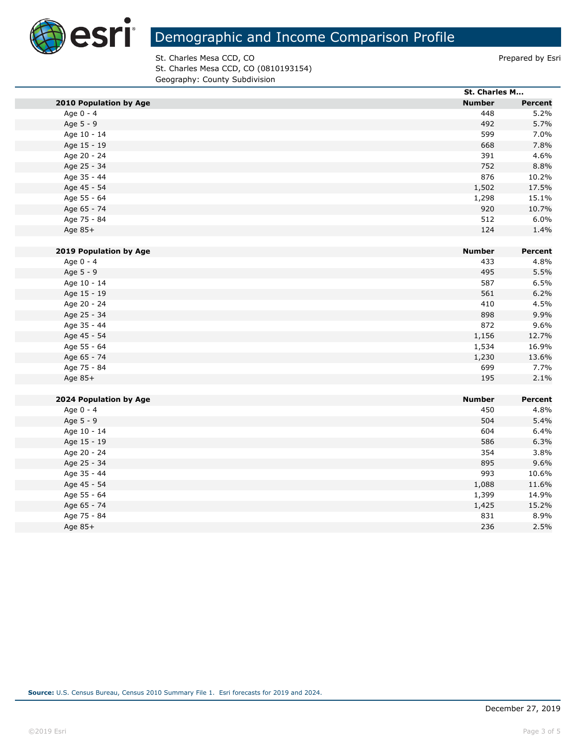

St. Charles Mesa CCD, CO **Prepared by Estimate St. Charles Mesa CCD**, CO St. Charles Mesa CCD, CO (0810193154) Geography: County Subdivision

|                        | St. Charles M |         |
|------------------------|---------------|---------|
| 2010 Population by Age | <b>Number</b> | Percent |
| Age 0 - 4              | 448           | 5.2%    |
| Age 5 - 9              | 492           | 5.7%    |
| Age 10 - 14            | 599           | 7.0%    |
| Age 15 - 19            | 668           | 7.8%    |
| Age 20 - 24            | 391           | 4.6%    |
| Age 25 - 34            | 752           | 8.8%    |
| Age 35 - 44            | 876           | 10.2%   |
| Age 45 - 54            | 1,502         | 17.5%   |
| Age 55 - 64            | 1,298         | 15.1%   |
| Age 65 - 74            | 920           | 10.7%   |
| Age 75 - 84            | 512           | 6.0%    |
| Age 85+                | 124           | 1.4%    |
|                        |               |         |
| 2019 Population by Age | <b>Number</b> | Percent |
| Age 0 - 4              | 433           | 4.8%    |
| Age 5 - 9              | 495           | 5.5%    |
| Age 10 - 14            | 587           | 6.5%    |
| Age 15 - 19            | 561           | 6.2%    |
| Age 20 - 24            | 410           | 4.5%    |
| Age 25 - 34            | 898           | 9.9%    |
| Age 35 - 44            | 872           | 9.6%    |
| Age 45 - 54            | 1,156         | 12.7%   |
| Age 55 - 64            | 1,534         | 16.9%   |
| Age 65 - 74            | 1,230         | 13.6%   |
| Age 75 - 84            | 699           | 7.7%    |
| Age 85+                | 195           | 2.1%    |
|                        |               |         |
| 2024 Population by Age | <b>Number</b> | Percent |
| Age 0 - 4              | 450           | 4.8%    |
| Age 5 - 9              | 504           | 5.4%    |
| Age 10 - 14            | 604           | 6.4%    |
| Age 15 - 19            | 586           | 6.3%    |
| Age 20 - 24            | 354           | 3.8%    |
| Age 25 - 34            | 895           | 9.6%    |
| Age 35 - 44            | 993           | 10.6%   |
| Age 45 - 54            | 1,088         | 11.6%   |
| Age 55 - 64            | 1,399         | 14.9%   |
| Age 65 - 74            | 1,425         | 15.2%   |
| Age 75 - 84            | 831           | 8.9%    |
| Age $85+$              | 236           | 2.5%    |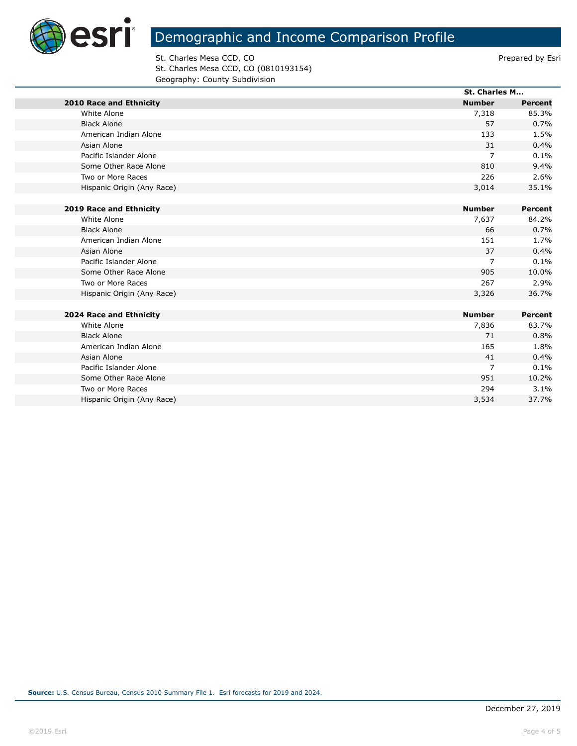

St. Charles Mesa CCD, CO **Prepared by Estimate St. Charles Mesa CCD**, CO St. Charles Mesa CCD, CO (0810193154) Geography: County Subdivision

|                                |                            | <b>St. Charles M</b> |                |
|--------------------------------|----------------------------|----------------------|----------------|
| <b>2010 Race and Ethnicity</b> |                            | <b>Number</b>        | <b>Percent</b> |
| White Alone                    |                            | 7,318                | 85.3%          |
| <b>Black Alone</b>             |                            | 57                   | 0.7%           |
| American Indian Alone          |                            | 133                  | 1.5%           |
| Asian Alone                    |                            | 31                   | 0.4%           |
| Pacific Islander Alone         |                            | 7                    | 0.1%           |
| Some Other Race Alone          |                            | 810                  | 9.4%           |
| Two or More Races              |                            | 226                  | 2.6%           |
|                                | Hispanic Origin (Any Race) | 3,014                | 35.1%          |
|                                |                            |                      |                |
| 2019 Race and Ethnicity        |                            | <b>Number</b>        | Percent        |
| White Alone                    |                            | 7,637                | 84.2%          |
| <b>Black Alone</b>             |                            | 66                   | 0.7%           |
| American Indian Alone          |                            | 151                  | 1.7%           |
| Asian Alone                    |                            | 37                   | 0.4%           |
| Pacific Islander Alone         |                            | $\overline{7}$       | 0.1%           |
| Some Other Race Alone          |                            | 905                  | 10.0%          |
| Two or More Races              |                            | 267                  | 2.9%           |
|                                | Hispanic Origin (Any Race) | 3,326                | 36.7%          |
|                                |                            |                      |                |
| 2024 Race and Ethnicity        |                            | <b>Number</b>        | Percent        |
| White Alone                    |                            | 7,836                | 83.7%          |
| <b>Black Alone</b>             |                            | 71                   | 0.8%           |
| American Indian Alone          |                            | 165                  | 1.8%           |
| Asian Alone                    |                            | 41                   | 0.4%           |
| Pacific Islander Alone         |                            | $\overline{7}$       | 0.1%           |
| Some Other Race Alone          |                            | 951                  | 10.2%          |
| Two or More Races              |                            | 294                  | 3.1%           |

Hispanic Origin (Any Race) 37.7%